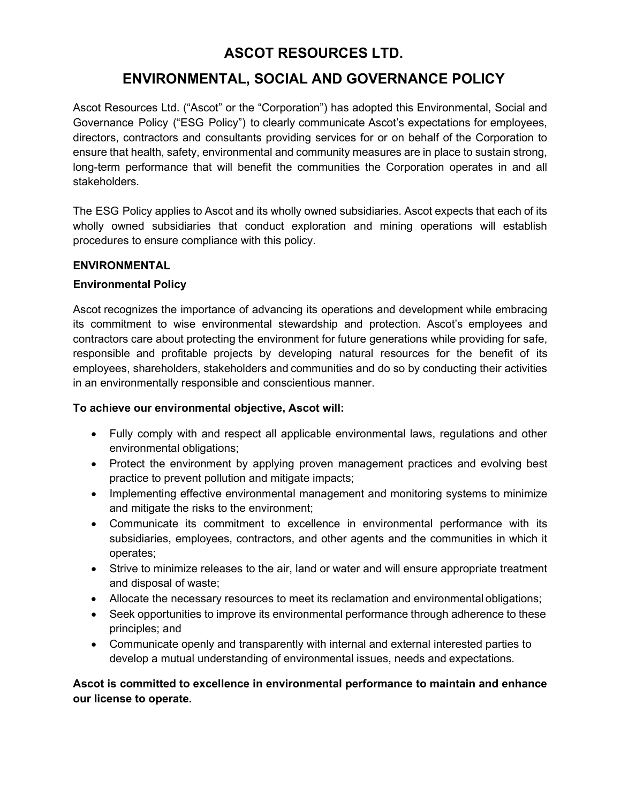# ASCOT RESOURCES LTD.

# ENVIRONMENTAL, SOCIAL AND GOVERNANCE POLICY

Ascot Resources Ltd. ("Ascot" or the "Corporation") has adopted this Environmental, Social and Governance Policy ("ESG Policy") to clearly communicate Ascot's expectations for employees, directors, contractors and consultants providing services for or on behalf of the Corporation to ensure that health, safety, environmental and community measures are in place to sustain strong, long-term performance that will benefit the communities the Corporation operates in and all stakeholders.

The ESG Policy applies to Ascot and its wholly owned subsidiaries. Ascot expects that each of its wholly owned subsidiaries that conduct exploration and mining operations will establish procedures to ensure compliance with this policy.

#### ENVIRONMENTAL

#### Environmental Policy

Ascot recognizes the importance of advancing its operations and development while embracing its commitment to wise environmental stewardship and protection. Ascot's employees and contractors care about protecting the environment for future generations while providing for safe, responsible and profitable projects by developing natural resources for the benefit of its employees, shareholders, stakeholders and communities and do so by conducting their activities in an environmentally responsible and conscientious manner.

#### To achieve our environmental objective, Ascot will:

- Fully comply with and respect all applicable environmental laws, regulations and other environmental obligations;
- Protect the environment by applying proven management practices and evolving best practice to prevent pollution and mitigate impacts;
- Implementing effective environmental management and monitoring systems to minimize and mitigate the risks to the environment;
- Communicate its commitment to excellence in environmental performance with its subsidiaries, employees, contractors, and other agents and the communities in which it operates;
- Strive to minimize releases to the air, land or water and will ensure appropriate treatment and disposal of waste;
- Allocate the necessary resources to meet its reclamation and environmental obligations;
- Seek opportunities to improve its environmental performance through adherence to these principles; and
- Communicate openly and transparently with internal and external interested parties to develop a mutual understanding of environmental issues, needs and expectations.

# Ascot is committed to excellence in environmental performance to maintain and enhance our license to operate.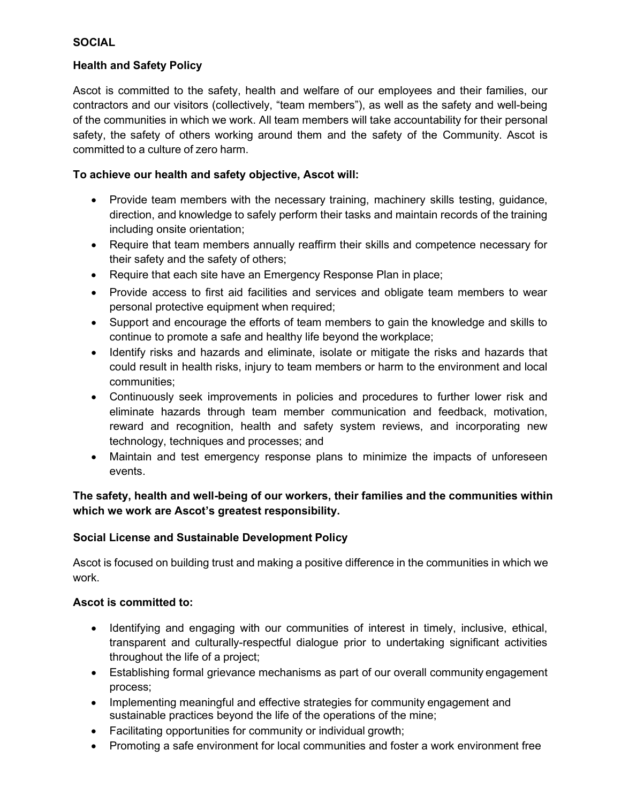#### **SOCIAL**

#### Health and Safety Policy

Ascot is committed to the safety, health and welfare of our employees and their families, our contractors and our visitors (collectively, "team members"), as well as the safety and well-being of the communities in which we work. All team members will take accountability for their personal safety, the safety of others working around them and the safety of the Community. Ascot is committed to a culture of zero harm.

### To achieve our health and safety objective, Ascot will:

- Provide team members with the necessary training, machinery skills testing, quidance, direction, and knowledge to safely perform their tasks and maintain records of the training including onsite orientation;
- Require that team members annually reaffirm their skills and competence necessary for their safety and the safety of others;
- Require that each site have an Emergency Response Plan in place;
- Provide access to first aid facilities and services and obligate team members to wear personal protective equipment when required;
- Support and encourage the efforts of team members to gain the knowledge and skills to continue to promote a safe and healthy life beyond the workplace;
- Identify risks and hazards and eliminate, isolate or mitigate the risks and hazards that could result in health risks, injury to team members or harm to the environment and local communities;
- Continuously seek improvements in policies and procedures to further lower risk and eliminate hazards through team member communication and feedback, motivation, reward and recognition, health and safety system reviews, and incorporating new technology, techniques and processes; and
- Maintain and test emergency response plans to minimize the impacts of unforeseen events.

# The safety, health and well-being of our workers, their families and the communities within which we work are Ascot's greatest responsibility.

# Social License and Sustainable Development Policy

Ascot is focused on building trust and making a positive difference in the communities in which we work.

#### Ascot is committed to:

- Identifying and engaging with our communities of interest in timely, inclusive, ethical, transparent and culturally-respectful dialogue prior to undertaking significant activities throughout the life of a project;
- Establishing formal grievance mechanisms as part of our overall community engagement process;
- Implementing meaningful and effective strategies for community engagement and sustainable practices beyond the life of the operations of the mine;
- Facilitating opportunities for community or individual growth;
- Promoting a safe environment for local communities and foster a work environment free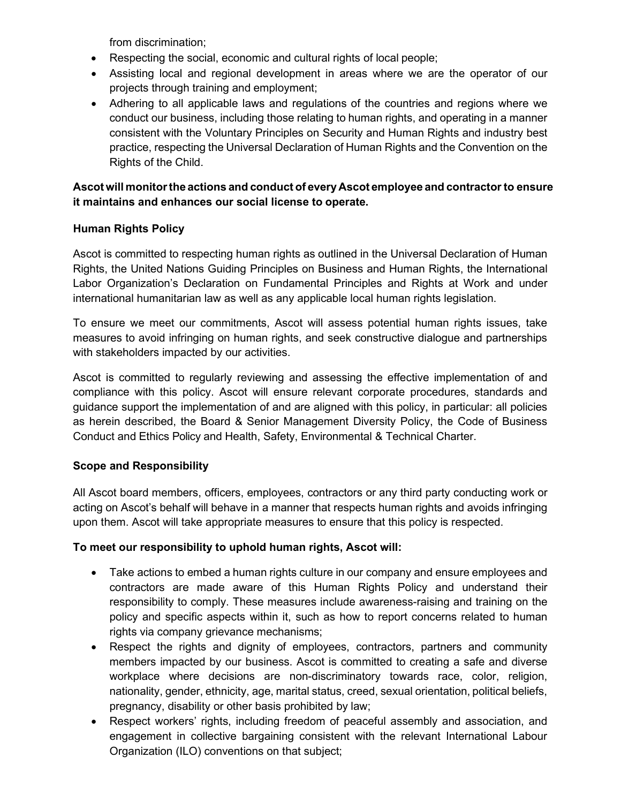from discrimination;

- Respecting the social, economic and cultural rights of local people;
- Assisting local and regional development in areas where we are the operator of our projects through training and employment;
- Adhering to all applicable laws and regulations of the countries and regions where we conduct our business, including those relating to human rights, and operating in a manner consistent with the Voluntary Principles on Security and Human Rights and industry best practice, respecting the Universal Declaration of Human Rights and the Convention on the Rights of the Child.

# Ascot will monitor the actions and conduct of every Ascot employee and contractor to ensure it maintains and enhances our social license to operate.

# Human Rights Policy

Ascot is committed to respecting human rights as outlined in the Universal Declaration of Human Rights, the United Nations Guiding Principles on Business and Human Rights, the International Labor Organization's Declaration on Fundamental Principles and Rights at Work and under international humanitarian law as well as any applicable local human rights legislation.

To ensure we meet our commitments, Ascot will assess potential human rights issues, take measures to avoid infringing on human rights, and seek constructive dialogue and partnerships with stakeholders impacted by our activities.

Ascot is committed to regularly reviewing and assessing the effective implementation of and compliance with this policy. Ascot will ensure relevant corporate procedures, standards and guidance support the implementation of and are aligned with this policy, in particular: all policies as herein described, the Board & Senior Management Diversity Policy, the Code of Business Conduct and Ethics Policy and Health, Safety, Environmental & Technical Charter.

# Scope and Responsibility

All Ascot board members, officers, employees, contractors or any third party conducting work or acting on Ascot's behalf will behave in a manner that respects human rights and avoids infringing upon them. Ascot will take appropriate measures to ensure that this policy is respected.

# To meet our responsibility to uphold human rights, Ascot will:

- Take actions to embed a human rights culture in our company and ensure employees and contractors are made aware of this Human Rights Policy and understand their responsibility to comply. These measures include awareness-raising and training on the policy and specific aspects within it, such as how to report concerns related to human rights via company grievance mechanisms;
- Respect the rights and dignity of employees, contractors, partners and community members impacted by our business. Ascot is committed to creating a safe and diverse workplace where decisions are non-discriminatory towards race, color, religion, nationality, gender, ethnicity, age, marital status, creed, sexual orientation, political beliefs, pregnancy, disability or other basis prohibited by law;
- Respect workers' rights, including freedom of peaceful assembly and association, and engagement in collective bargaining consistent with the relevant International Labour Organization (ILO) conventions on that subject;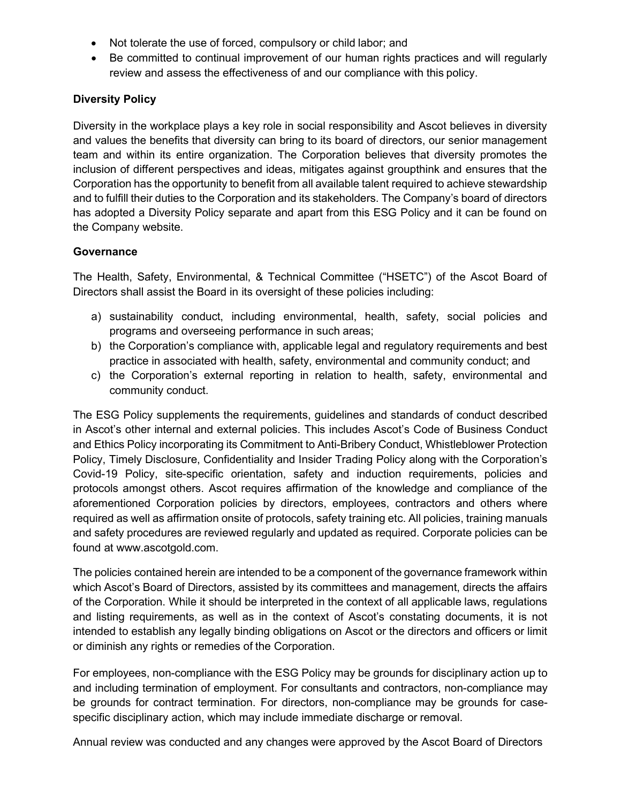- Not tolerate the use of forced, compulsory or child labor; and
- Be committed to continual improvement of our human rights practices and will regularly review and assess the effectiveness of and our compliance with this policy.

### Diversity Policy

Diversity in the workplace plays a key role in social responsibility and Ascot believes in diversity and values the benefits that diversity can bring to its board of directors, our senior management team and within its entire organization. The Corporation believes that diversity promotes the inclusion of different perspectives and ideas, mitigates against groupthink and ensures that the Corporation has the opportunity to benefit from all available talent required to achieve stewardship and to fulfill their duties to the Corporation and its stakeholders. The Company's board of directors has adopted a Diversity Policy separate and apart from this ESG Policy and it can be found on the Company website.

#### **Governance**

The Health, Safety, Environmental, & Technical Committee ("HSETC") of the Ascot Board of Directors shall assist the Board in its oversight of these policies including:

- a) sustainability conduct, including environmental, health, safety, social policies and programs and overseeing performance in such areas;
- b) the Corporation's compliance with, applicable legal and regulatory requirements and best practice in associated with health, safety, environmental and community conduct; and
- c) the Corporation's external reporting in relation to health, safety, environmental and community conduct.

The ESG Policy supplements the requirements, guidelines and standards of conduct described in Ascot's other internal and external policies. This includes Ascot's Code of Business Conduct and Ethics Policy incorporating its Commitment to Anti-Bribery Conduct, Whistleblower Protection Policy, Timely Disclosure, Confidentiality and Insider Trading Policy along with the Corporation's Covid-19 Policy, site-specific orientation, safety and induction requirements, policies and protocols amongst others. Ascot requires affirmation of the knowledge and compliance of the aforementioned Corporation policies by directors, employees, contractors and others where required as well as affirmation onsite of protocols, safety training etc. All policies, training manuals and safety procedures are reviewed regularly and updated as required. Corporate policies can be found at www.ascotgold.com.

The policies contained herein are intended to be a component of the governance framework within which Ascot's Board of Directors, assisted by its committees and management, directs the affairs of the Corporation. While it should be interpreted in the context of all applicable laws, regulations and listing requirements, as well as in the context of Ascot's constating documents, it is not intended to establish any legally binding obligations on Ascot or the directors and officers or limit or diminish any rights or remedies of the Corporation.

For employees, non-compliance with the ESG Policy may be grounds for disciplinary action up to and including termination of employment. For consultants and contractors, non-compliance may be grounds for contract termination. For directors, non-compliance may be grounds for casespecific disciplinary action, which may include immediate discharge or removal.

Annual review was conducted and any changes were approved by the Ascot Board of Directors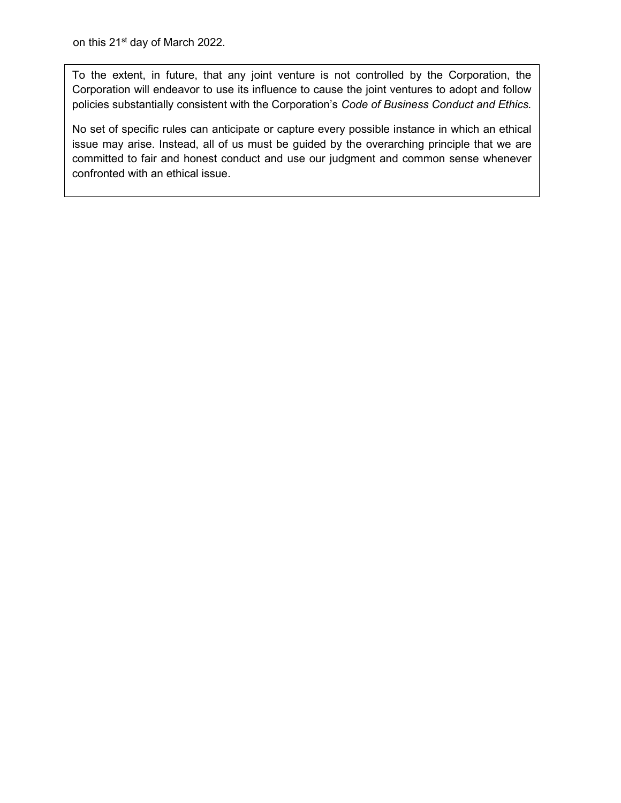To the extent, in future, that any joint venture is not controlled by the Corporation, the Corporation will endeavor to use its influence to cause the joint ventures to adopt and follow policies substantially consistent with the Corporation's Code of Business Conduct and Ethics.

No set of specific rules can anticipate or capture every possible instance in which an ethical issue may arise. Instead, all of us must be guided by the overarching principle that we are committed to fair and honest conduct and use our judgment and common sense whenever confronted with an ethical issue.